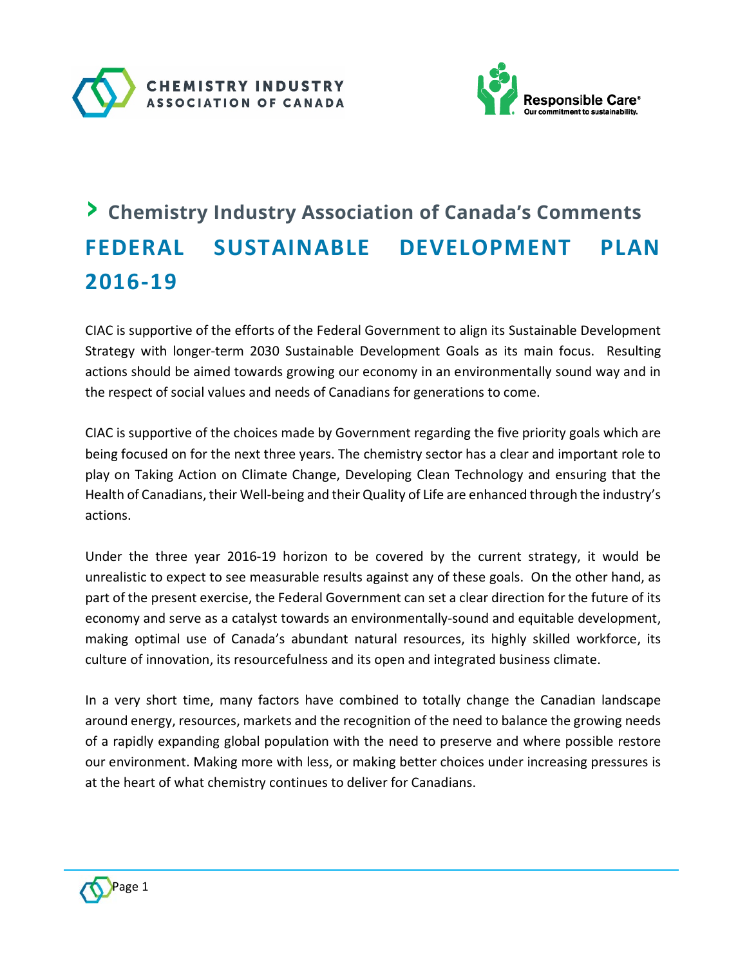



# › **Chemistry Industry Association of Canada's Comments FEDERAL SUSTAINABLE DEVELOPMENT PLAN 2016-19**

CIAC is supportive of the efforts of the Federal Government to align its Sustainable Development Strategy with longer-term 2030 Sustainable Development Goals as its main focus. Resulting actions should be aimed towards growing our economy in an environmentally sound way and in the respect of social values and needs of Canadians for generations to come.

CIAC is supportive of the choices made by Government regarding the five priority goals which are being focused on for the next three years. The chemistry sector has a clear and important role to play on Taking Action on Climate Change, Developing Clean Technology and ensuring that the Health of Canadians, their Well-being and their Quality of Life are enhanced through the industry's actions.

Under the three year 2016-19 horizon to be covered by the current strategy, it would be unrealistic to expect to see measurable results against any of these goals. On the other hand, as part of the present exercise, the Federal Government can set a clear direction for the future of its economy and serve as a catalyst towards an environmentally-sound and equitable development, making optimal use of Canada's abundant natural resources, its highly skilled workforce, its culture of innovation, its resourcefulness and its open and integrated business climate.

In a very short time, many factors have combined to totally change the Canadian landscape around energy, resources, markets and the recognition of the need to balance the growing needs of a rapidly expanding global population with the need to preserve and where possible restore our environment. Making more with less, or making better choices under increasing pressures is at the heart of what chemistry continues to deliver for Canadians.

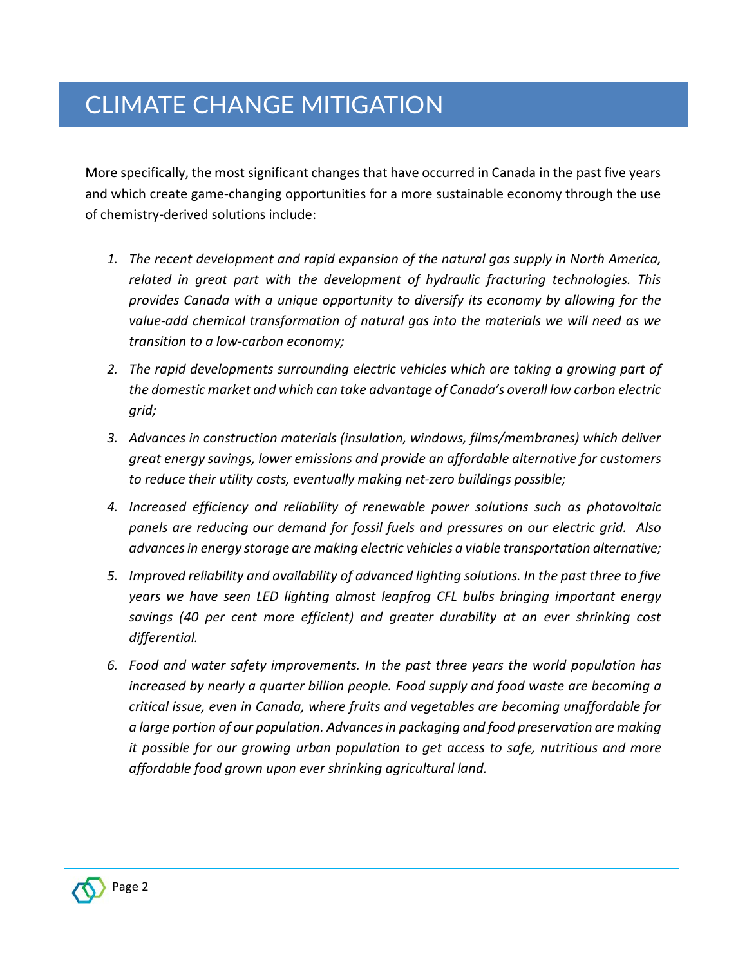More specifically, the most significant changes that have occurred in Canada in the past five years and which create game-changing opportunities for a more sustainable economy through the use of chemistry-derived solutions include:

- *1. The recent development and rapid expansion of the natural gas supply in North America, related in great part with the development of hydraulic fracturing technologies. This provides Canada with a unique opportunity to diversify its economy by allowing for the value-add chemical transformation of natural gas into the materials we will need as we transition to a low-carbon economy;*
- *2. The rapid developments surrounding electric vehicles which are taking a growing part of the domestic market and which can take advantage of Canada's overall low carbon electric grid;*
- *3. Advances in construction materials (insulation, windows, films/membranes) which deliver great energy savings, lower emissions and provide an affordable alternative for customers to reduce their utility costs, eventually making net-zero buildings possible;*
- *4. Increased efficiency and reliability of renewable power solutions such as photovoltaic panels are reducing our demand for fossil fuels and pressures on our electric grid. Also advances in energy storage are making electric vehicles a viable transportation alternative;*
- *5. Improved reliability and availability of advanced lighting solutions. In the past three to five years we have seen LED lighting almost leapfrog CFL bulbs bringing important energy savings (40 per cent more efficient) and greater durability at an ever shrinking cost differential.*
- *6. Food and water safety improvements. In the past three years the world population has increased by nearly a quarter billion people. Food supply and food waste are becoming a critical issue, even in Canada, where fruits and vegetables are becoming unaffordable for a large portion of our population. Advances in packaging and food preservation are making it possible for our growing urban population to get access to safe, nutritious and more affordable food grown upon ever shrinking agricultural land.*

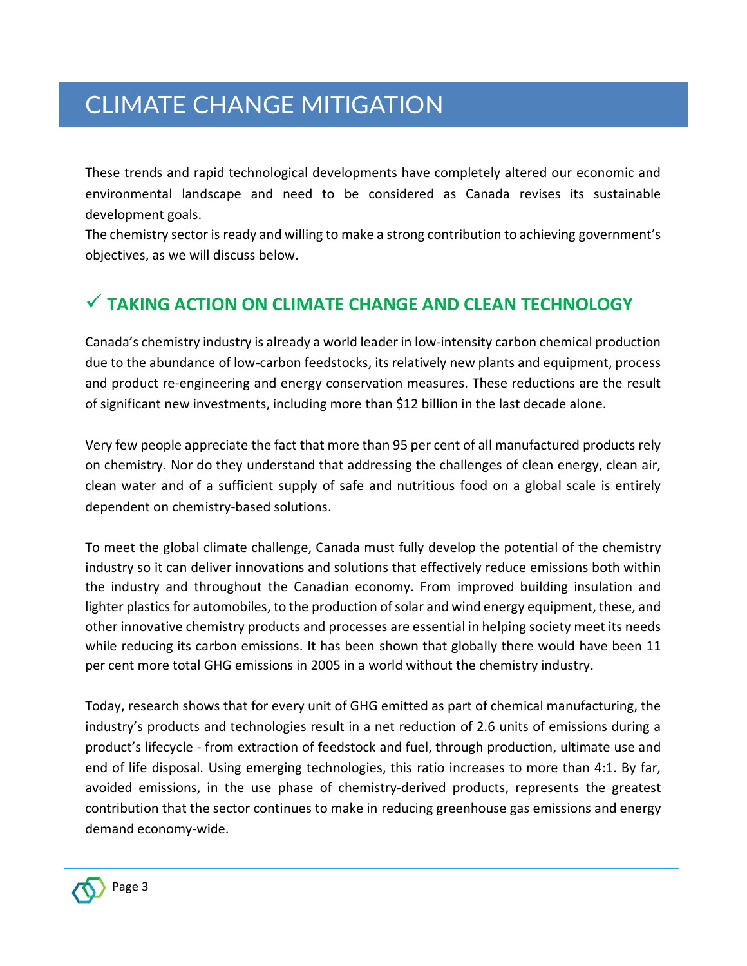These trends and rapid technological developments have completely altered our economic and environmental landscape and need to be considered as Canada revises its sustainable development goals.

The chemistry sector is ready and willing to make a strong contribution to achieving government's objectives, as we will discuss below.

#### **TAKING ACTION ON CLIMATE CHANGE AND CLEAN TECHNOLOGY**

Canada's chemistry industry is already a world leader in low-intensity carbon chemical production due to the abundance of low-carbon feedstocks, its relatively new plants and equipment, process and product re-engineering and energy conservation measures. These reductions are the result of significant new investments, including more than \$12 billion in the last decade alone.

Very few people appreciate the fact that more than 95 per cent of all manufactured products rely on chemistry. Nor do they understand that addressing the challenges of clean energy, clean air, clean water and of a sufficient supply of safe and nutritious food on a global scale is entirely dependent on chemistry-based solutions.

To meet the global climate challenge, Canada must fully develop the potential of the chemistry industry so it can deliver innovations and solutions that effectively reduce emissions both within the industry and throughout the Canadian economy. From improved building insulation and lighter plastics for automobiles, to the production of solar and wind energy equipment, these, and other innovative chemistry products and processes are essential in helping society meet its needs while reducing its carbon emissions. It has been shown that globally there would have been 11 per cent more total GHG emissions in 2005 in a world without the chemistry industry.

Today, research shows that for every unit of GHG emitted as part of chemical manufacturing, the industry's products and technologies result in a net reduction of 2.6 units of emissions during a product's lifecycle - from extraction of feedstock and fuel, through production, ultimate use and end of life disposal. Using emerging technologies, this ratio increases to more than 4:1. By far, avoided emissions, in the use phase of chemistry-derived products, represents the greatest contribution that the sector continues to make in reducing greenhouse gas emissions and energy demand economy-wide.

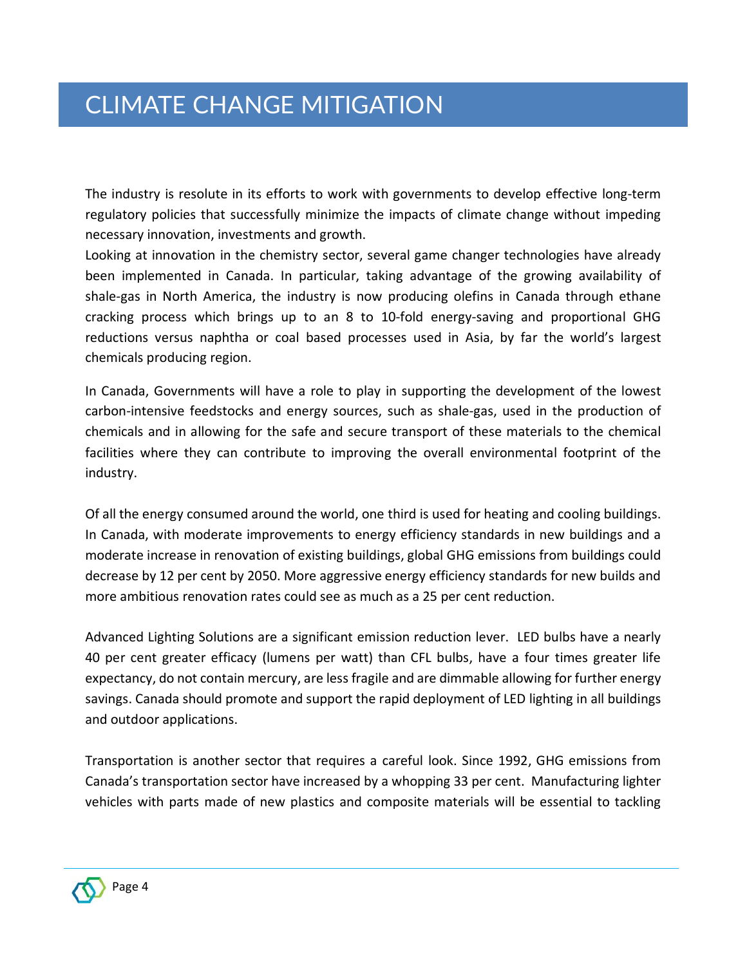The industry is resolute in its efforts to work with governments to develop effective long-term regulatory policies that successfully minimize the impacts of climate change without impeding necessary innovation, investments and growth.

Looking at innovation in the chemistry sector, several game changer technologies have already been implemented in Canada. In particular, taking advantage of the growing availability of shale-gas in North America, the industry is now producing olefins in Canada through ethane cracking process which brings up to an 8 to 10-fold energy-saving and proportional GHG reductions versus naphtha or coal based processes used in Asia, by far the world's largest chemicals producing region.

In Canada, Governments will have a role to play in supporting the development of the lowest carbon-intensive feedstocks and energy sources, such as shale-gas, used in the production of chemicals and in allowing for the safe and secure transport of these materials to the chemical facilities where they can contribute to improving the overall environmental footprint of the industry.

Of all the energy consumed around the world, one third is used for heating and cooling buildings. In Canada, with moderate improvements to energy efficiency standards in new buildings and a moderate increase in renovation of existing buildings, global GHG emissions from buildings could decrease by 12 per cent by 2050. More aggressive energy efficiency standards for new builds and more ambitious renovation rates could see as much as a 25 per cent reduction.

Advanced Lighting Solutions are a significant emission reduction lever. LED bulbs have a nearly 40 per cent greater efficacy (lumens per watt) than CFL bulbs, have a four times greater life expectancy, do not contain mercury, are less fragile and are dimmable allowing for further energy savings. Canada should promote and support the rapid deployment of LED lighting in all buildings and outdoor applications.

Transportation is another sector that requires a careful look. Since 1992, GHG emissions from Canada's transportation sector have increased by a whopping 33 per cent. Manufacturing lighter vehicles with parts made of new plastics and composite materials will be essential to tackling

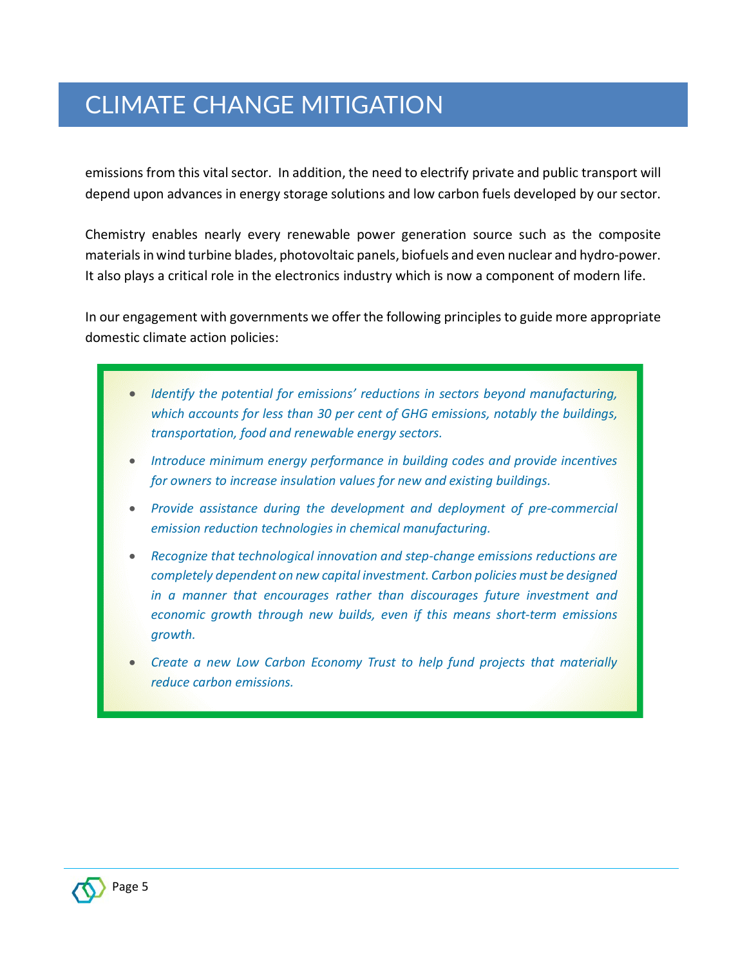emissions from this vital sector. In addition, the need to electrify private and public transport will depend upon advances in energy storage solutions and low carbon fuels developed by our sector.

Chemistry enables nearly every renewable power generation source such as the composite materials in wind turbine blades, photovoltaic panels, biofuels and even nuclear and hydro-power. It also plays a critical role in the electronics industry which is now a component of modern life.

In our engagement with governments we offer the following principles to guide more appropriate domestic climate action policies:

- *Identify the potential for emissions' reductions in sectors beyond manufacturing, which accounts for less than 30 per cent of GHG emissions, notably the buildings, transportation, food and renewable energy sectors.*
- *Introduce minimum energy performance in building codes and provide incentives for owners to increase insulation values for new and existing buildings.*
- *Provide assistance during the development and deployment of pre-commercial emission reduction technologies in chemical manufacturing.*
- *Recognize that technological innovation and step-change emissions reductions are completely dependent on new capital investment. Carbon policies must be designed in a manner that encourages rather than discourages future investment and economic growth through new builds, even if this means short-term emissions growth.*
- *Create a new Low Carbon Economy Trust to help fund projects that materially reduce carbon emissions.*

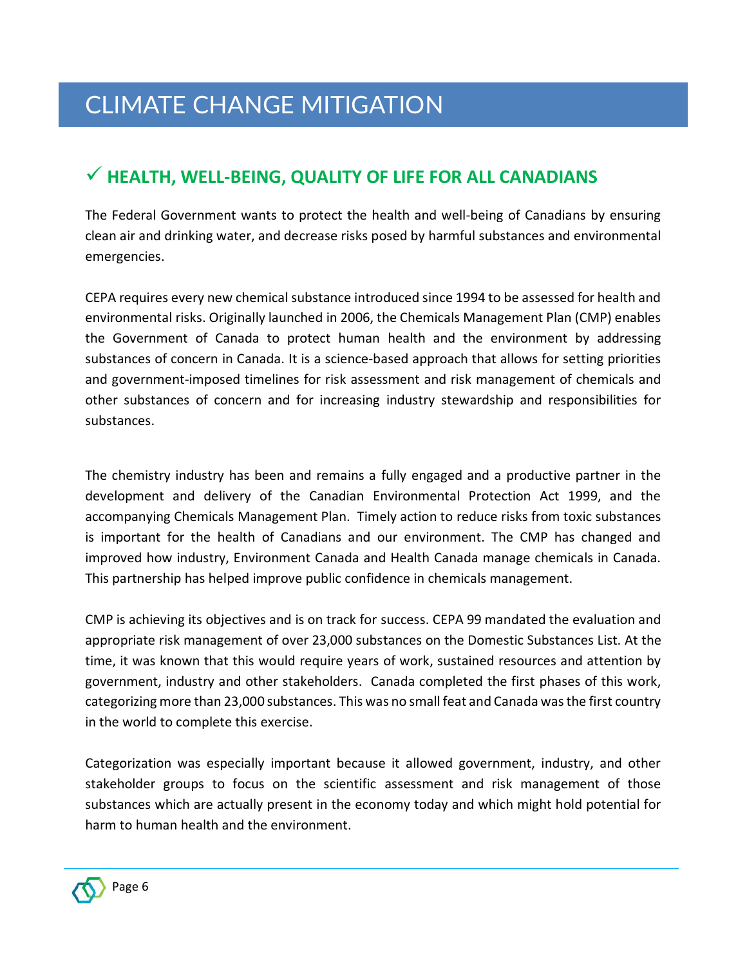#### **HEALTH, WELL-BEING, QUALITY OF LIFE FOR ALL CANADIANS**

The Federal Government wants to protect the health and well-being of Canadians by ensuring clean air and drinking water, and decrease risks posed by harmful substances and environmental emergencies.

CEPA requires every new chemical substance introduced since 1994 to be assessed for health and environmental risks. Originally launched in 2006, the Chemicals Management Plan (CMP) enables the Government of Canada to protect human health and the environment by addressing substances of concern in Canada. It is a science-based approach that allows for setting priorities and government-imposed timelines for risk assessment and risk management of chemicals and other substances of concern and for increasing industry stewardship and responsibilities for substances.

The chemistry industry has been and remains a fully engaged and a productive partner in the development and delivery of the Canadian Environmental Protection Act 1999, and the accompanying Chemicals Management Plan. Timely action to reduce risks from toxic substances is important for the health of Canadians and our environment. The CMP has changed and improved how industry, Environment Canada and Health Canada manage chemicals in Canada. This partnership has helped improve public confidence in chemicals management.

CMP is achieving its objectives and is on track for success. CEPA 99 mandated the evaluation and appropriate risk management of over 23,000 substances on the Domestic Substances List. At the time, it was known that this would require years of work, sustained resources and attention by government, industry and other stakeholders. Canada completed the first phases of this work, categorizing more than 23,000 substances. This was no small feat and Canada was the first country in the world to complete this exercise.

Categorization was especially important because it allowed government, industry, and other stakeholder groups to focus on the scientific assessment and risk management of those substances which are actually present in the economy today and which might hold potential for harm to human health and the environment.

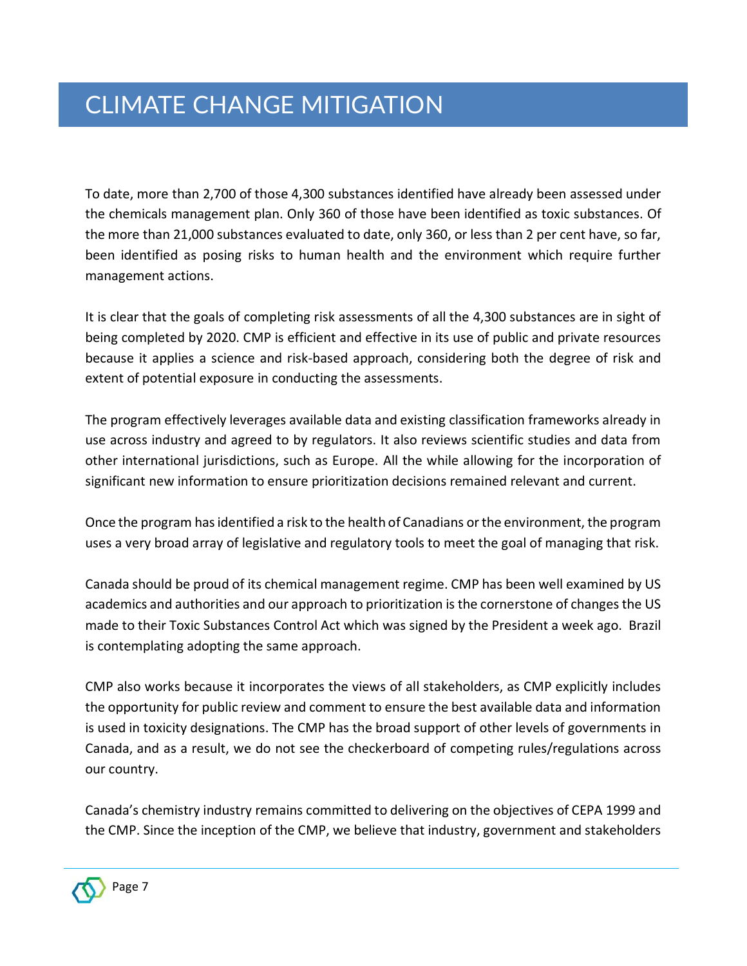To date, more than 2,700 of those 4,300 substances identified have already been assessed under the chemicals management plan. Only 360 of those have been identified as toxic substances. Of the more than 21,000 substances evaluated to date, only 360, or less than 2 per cent have, so far, been identified as posing risks to human health and the environment which require further management actions.

It is clear that the goals of completing risk assessments of all the 4,300 substances are in sight of being completed by 2020. CMP is efficient and effective in its use of public and private resources because it applies a science and risk-based approach, considering both the degree of risk and extent of potential exposure in conducting the assessments.

The program effectively leverages available data and existing classification frameworks already in use across industry and agreed to by regulators. It also reviews scientific studies and data from other international jurisdictions, such as Europe. All the while allowing for the incorporation of significant new information to ensure prioritization decisions remained relevant and current.

Once the program has identified a risk to the health of Canadians or the environment, the program uses a very broad array of legislative and regulatory tools to meet the goal of managing that risk.

Canada should be proud of its chemical management regime. CMP has been well examined by US academics and authorities and our approach to prioritization is the cornerstone of changes the US made to their Toxic Substances Control Act which was signed by the President a week ago. Brazil is contemplating adopting the same approach.

CMP also works because it incorporates the views of all stakeholders, as CMP explicitly includes the opportunity for public review and comment to ensure the best available data and information is used in toxicity designations. The CMP has the broad support of other levels of governments in Canada, and as a result, we do not see the checkerboard of competing rules/regulations across our country.

Canada's chemistry industry remains committed to delivering on the objectives of CEPA 1999 and the CMP. Since the inception of the CMP, we believe that industry, government and stakeholders

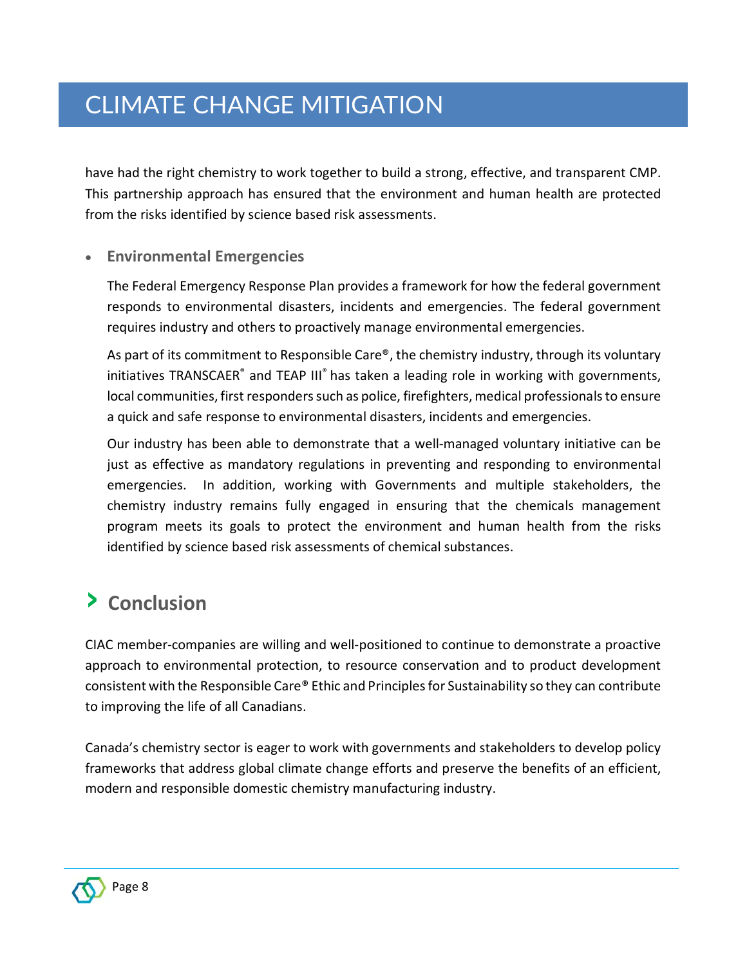have had the right chemistry to work together to build a strong, effective, and transparent CMP. This partnership approach has ensured that the environment and human health are protected from the risks identified by science based risk assessments.

#### • **Environmental Emergencies**

The Federal Emergency Response Plan provides a framework for how the federal government responds to environmental disasters, incidents and emergencies. The federal government requires industry and others to proactively manage environmental emergencies.

As part of its commitment to Responsible Care®, the chemistry industry, through its voluntary initiatives TRANSCAER® and TEAP III® has taken a leading role in working with governments, local communities, first responders such as police, firefighters, medical professionals to ensure a quick and safe response to environmental disasters, incidents and emergencies.

Our industry has been able to demonstrate that a well-managed voluntary initiative can be just as effective as mandatory regulations in preventing and responding to environmental emergencies. In addition, working with Governments and multiple stakeholders, the chemistry industry remains fully engaged in ensuring that the chemicals management program meets its goals to protect the environment and human health from the risks identified by science based risk assessments of chemical substances.

#### › **Conclusion**

CIAC member-companies are willing and well-positioned to continue to demonstrate a proactive approach to environmental protection, to resource conservation and to product development consistent with the Responsible Care® Ethic and Principles for Sustainability so they can contribute to improving the life of all Canadians.

Canada's chemistry sector is eager to work with governments and stakeholders to develop policy frameworks that address global climate change efforts and preserve the benefits of an efficient, modern and responsible domestic chemistry manufacturing industry.